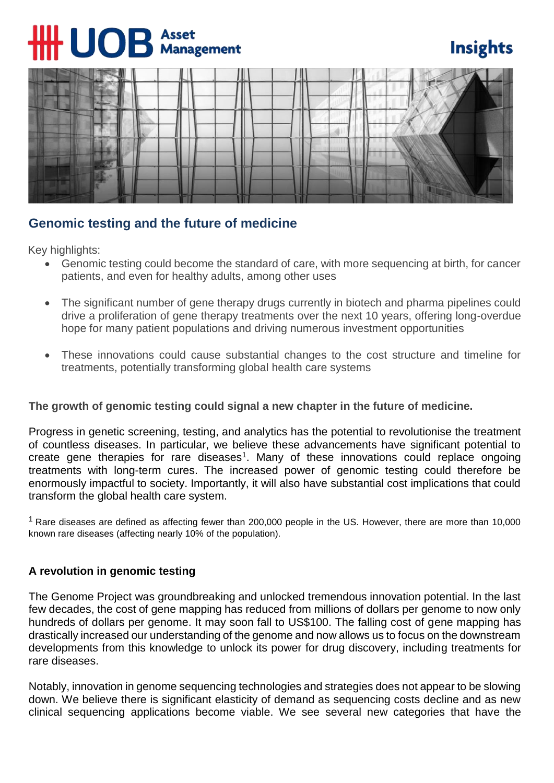# $\mathbf{U}$ **O** $\mathbf{B}$  Asset

# **Insights**



# **Genomic testing and the future of medicine**

Key highlights:

- Genomic testing could become the standard of care, with more sequencing at birth, for cancer patients, and even for healthy adults, among other uses
- The significant number of gene therapy drugs currently in biotech and pharma pipelines could drive a proliferation of gene therapy treatments over the next 10 years, offering long-overdue hope for many patient populations and driving numerous investment opportunities
- These innovations could cause substantial changes to the cost structure and timeline for treatments, potentially transforming global health care systems

# **The growth of genomic testing could signal a new chapter in the future of medicine.**

Progress in genetic screening, testing, and analytics has the potential to revolutionise the treatment of countless diseases. In particular, we believe these advancements have significant potential to create gene therapies for rare diseases<sup>1</sup>. Many of these innovations could replace ongoing treatments with long-term cures. The increased power of genomic testing could therefore be enormously impactful to society. Importantly, it will also have substantial cost implications that could transform the global health care system.

<sup>1</sup> Rare diseases are defined as affecting fewer than 200,000 people in the US. However, there are more than 10,000 known rare diseases (affecting nearly 10% of the population).

# **A revolution in genomic testing**

The Genome Project was groundbreaking and unlocked tremendous innovation potential. In the last few decades, the cost of gene mapping has reduced from millions of dollars per genome to now only hundreds of dollars per genome. It may soon fall to US\$100. The falling cost of gene mapping has drastically increased our understanding of the genome and now allows us to focus on the downstream developments from this knowledge to unlock its power for drug discovery, including treatments for rare diseases.

Notably, innovation in genome sequencing technologies and strategies does not appear to be slowing down. We believe there is significant elasticity of demand as sequencing costs decline and as new clinical sequencing applications become viable. We see several new categories that have the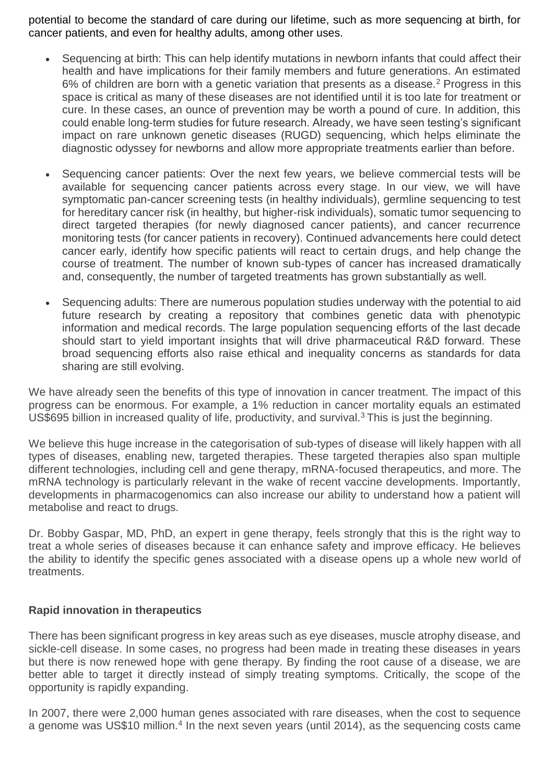potential to become the standard of care during our lifetime, such as more sequencing at birth, for cancer patients, and even for healthy adults, among other uses.

- Sequencing at birth: This can help identify mutations in newborn infants that could affect their health and have implications for their family members and future generations. An estimated 6% of children are born with a genetic variation that presents as a disease.<sup>2</sup> Progress in this space is critical as many of these diseases are not identified until it is too late for treatment or cure. In these cases, an ounce of prevention may be worth a pound of cure. In addition, this could enable long-term studies for future research. Already, we have seen testing's significant impact on rare unknown genetic diseases (RUGD) sequencing, which helps eliminate the diagnostic odyssey for newborns and allow more appropriate treatments earlier than before.
- Sequencing cancer patients: Over the next few years, we believe commercial tests will be available for sequencing cancer patients across every stage. In our view, we will have symptomatic pan-cancer screening tests (in healthy individuals), germline sequencing to test for hereditary cancer risk (in healthy, but higher-risk individuals), somatic tumor sequencing to direct targeted therapies (for newly diagnosed cancer patients), and cancer recurrence monitoring tests (for cancer patients in recovery). Continued advancements here could detect cancer early, identify how specific patients will react to certain drugs, and help change the course of treatment. The number of known sub-types of cancer has increased dramatically and, consequently, the number of targeted treatments has grown substantially as well.
- Sequencing adults: There are numerous population studies underway with the potential to aid future research by creating a repository that combines genetic data with phenotypic information and medical records. The large population sequencing efforts of the last decade should start to vield important insights that will drive pharmaceutical R&D forward. These broad sequencing efforts also raise ethical and inequality concerns as standards for data sharing are still evolving.

We have already seen the benefits of this type of innovation in cancer treatment. The impact of this progress can be enormous. For example, a 1% reduction in cancer mortality equals an estimated US\$695 billion in increased quality of life, productivity, and survival.<sup>3</sup> This is just the beginning.

We believe this huge increase in the categorisation of sub-types of disease will likely happen with all types of diseases, enabling new, targeted therapies. These targeted therapies also span multiple different technologies, including cell and gene therapy, mRNA-focused therapeutics, and more. The mRNA technology is particularly relevant in the wake of recent vaccine developments. Importantly, developments in pharmacogenomics can also increase our ability to understand how a patient will metabolise and react to drugs.

Dr. Bobby Gaspar, MD, PhD, an expert in gene therapy, feels strongly that this is the right way to treat a whole series of diseases because it can enhance safety and improve efficacy. He believes the ability to identify the specific genes associated with a disease opens up a whole new world of treatments.

# **Rapid innovation in therapeutics**

There has been significant progress in key areas such as eye diseases, muscle atrophy disease, and sickle-cell disease. In some cases, no progress had been made in treating these diseases in years but there is now renewed hope with gene therapy. By finding the root cause of a disease, we are better able to target it directly instead of simply treating symptoms. Critically, the scope of the opportunity is rapidly expanding.

In 2007, there were 2,000 human genes associated with rare diseases, when the cost to sequence a genome was US\$10 million.<sup>4</sup> In the next seven years (until 2014), as the sequencing costs came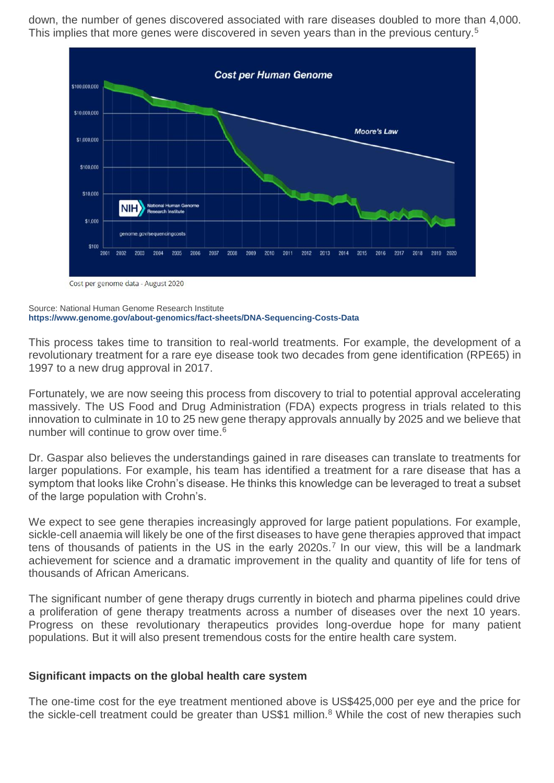down, the number of genes discovered associated with rare diseases doubled to more than 4,000. This implies that more genes were discovered in seven years than in the previous century.<sup>5</sup>



Cost per genome data - August 2020

#### Source: National Human Genome Research Institute **<https://www.genome.gov/about-genomics/fact-sheets/DNA-Sequencing-Costs-Data>**

This process takes time to transition to real-world treatments. For example, the development of a revolutionary treatment for a rare eye disease took two decades from gene identification (RPE65) in 1997 to a new drug approval in 2017.

Fortunately, we are now seeing this process from discovery to trial to potential approval accelerating massively. The US Food and Drug Administration (FDA) expects progress in trials related to this innovation to culminate in 10 to 25 new gene therapy approvals annually by 2025 and we believe that number will continue to grow over time.<sup>6</sup>

Dr. Gaspar also believes the understandings gained in rare diseases can translate to treatments for larger populations. For example, his team has identified a treatment for a rare disease that has a symptom that looks like Crohn's disease. He thinks this knowledge can be leveraged to treat a subset of the large population with Crohn's.

We expect to see gene therapies increasingly approved for large patient populations. For example, sickle-cell anaemia will likely be one of the first diseases to have gene therapies approved that impact tens of thousands of patients in the US in the early 2020s.<sup>7</sup> In our view, this will be a landmark achievement for science and a dramatic improvement in the quality and quantity of life for tens of thousands of African Americans.

The significant number of gene therapy drugs currently in biotech and pharma pipelines could drive a proliferation of gene therapy treatments across a number of diseases over the next 10 years. Progress on these revolutionary therapeutics provides long-overdue hope for many patient populations. But it will also present tremendous costs for the entire health care system.

# **Significant impacts on the global health care system**

The one-time cost for the eye treatment mentioned above is US\$425,000 per eye and the price for the sickle-cell treatment could be greater than US\$1 million.<sup>8</sup> While the cost of new therapies such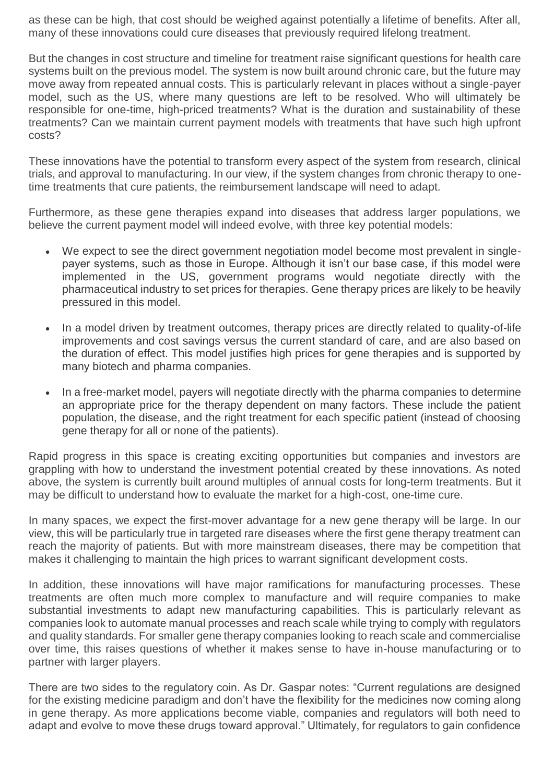as these can be high, that cost should be weighed against potentially a lifetime of benefits. After all, many of these innovations could cure diseases that previously required lifelong treatment.

But the changes in cost structure and timeline for treatment raise significant questions for health care systems built on the previous model. The system is now built around chronic care, but the future may move away from repeated annual costs. This is particularly relevant in places without a single-payer model, such as the US, where many questions are left to be resolved. Who will ultimately be responsible for one-time, high-priced treatments? What is the duration and sustainability of these treatments? Can we maintain current payment models with treatments that have such high upfront costs?

These innovations have the potential to transform every aspect of the system from research, clinical trials, and approval to manufacturing. In our view, if the system changes from chronic therapy to onetime treatments that cure patients, the reimbursement landscape will need to adapt.

Furthermore, as these gene therapies expand into diseases that address larger populations, we believe the current payment model will indeed evolve, with three key potential models:

- We expect to see the direct government negotiation model become most prevalent in singlepayer systems, such as those in Europe. Although it isn't our base case, if this model were implemented in the US, government programs would negotiate directly with the pharmaceutical industry to set prices for therapies. Gene therapy prices are likely to be heavily pressured in this model.
- In a model driven by treatment outcomes, therapy prices are directly related to quality-of-life improvements and cost savings versus the current standard of care, and are also based on the duration of effect. This model justifies high prices for gene therapies and is supported by many biotech and pharma companies.
- In a free-market model, payers will negotiate directly with the pharma companies to determine an appropriate price for the therapy dependent on many factors. These include the patient population, the disease, and the right treatment for each specific patient (instead of choosing gene therapy for all or none of the patients).

Rapid progress in this space is creating exciting opportunities but companies and investors are grappling with how to understand the investment potential created by these innovations. As noted above, the system is currently built around multiples of annual costs for long-term treatments. But it may be difficult to understand how to evaluate the market for a high-cost, one-time cure.

In many spaces, we expect the first-mover advantage for a new gene therapy will be large. In our view, this will be particularly true in targeted rare diseases where the first gene therapy treatment can reach the majority of patients. But with more mainstream diseases, there may be competition that makes it challenging to maintain the high prices to warrant significant development costs.

In addition, these innovations will have major ramifications for manufacturing processes. These treatments are often much more complex to manufacture and will require companies to make substantial investments to adapt new manufacturing capabilities. This is particularly relevant as companies look to automate manual processes and reach scale while trying to comply with regulators and quality standards. For smaller gene therapy companies looking to reach scale and commercialise over time, this raises questions of whether it makes sense to have in-house manufacturing or to partner with larger players.

There are two sides to the regulatory coin. As Dr. Gaspar notes: "Current regulations are designed for the existing medicine paradigm and don't have the flexibility for the medicines now coming along in gene therapy. As more applications become viable, companies and regulators will both need to adapt and evolve to move these drugs toward approval." Ultimately, for regulators to gain confidence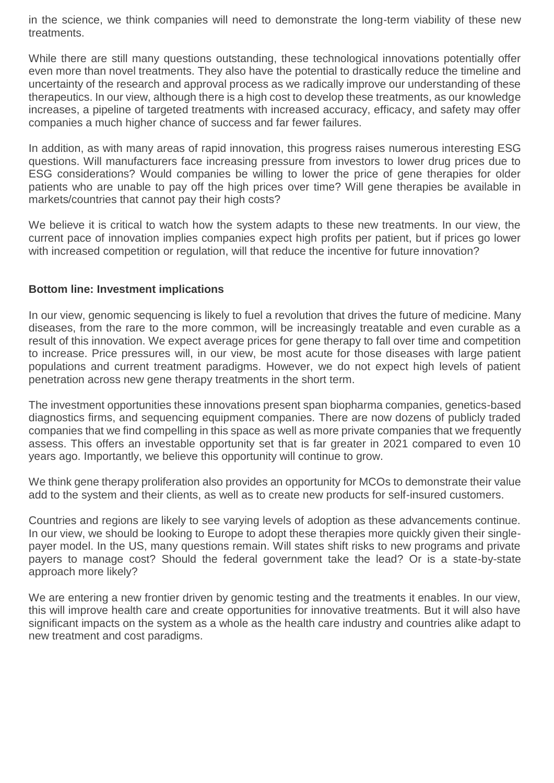in the science, we think companies will need to demonstrate the long-term viability of these new treatments.

While there are still many questions outstanding, these technological innovations potentially offer even more than novel treatments. They also have the potential to drastically reduce the timeline and uncertainty of the research and approval process as we radically improve our understanding of these therapeutics. In our view, although there is a high cost to develop these treatments, as our knowledge increases, a pipeline of targeted treatments with increased accuracy, efficacy, and safety may offer companies a much higher chance of success and far fewer failures.

In addition, as with many areas of rapid innovation, this progress raises numerous interesting ESG questions. Will manufacturers face increasing pressure from investors to lower drug prices due to ESG considerations? Would companies be willing to lower the price of gene therapies for older patients who are unable to pay off the high prices over time? Will gene therapies be available in markets/countries that cannot pay their high costs?

We believe it is critical to watch how the system adapts to these new treatments. In our view, the current pace of innovation implies companies expect high profits per patient, but if prices go lower with increased competition or regulation, will that reduce the incentive for future innovation?

# **Bottom line: Investment implications**

In our view, genomic sequencing is likely to fuel a revolution that drives the future of medicine. Many diseases, from the rare to the more common, will be increasingly treatable and even curable as a result of this innovation. We expect average prices for gene therapy to fall over time and competition to increase. Price pressures will, in our view, be most acute for those diseases with large patient populations and current treatment paradigms. However, we do not expect high levels of patient penetration across new gene therapy treatments in the short term.

The investment opportunities these innovations present span biopharma companies, genetics-based diagnostics firms, and sequencing equipment companies. There are now dozens of publicly traded companies that we find compelling in this space as well as more private companies that we frequently assess. This offers an investable opportunity set that is far greater in 2021 compared to even 10 years ago. Importantly, we believe this opportunity will continue to grow.

We think gene therapy proliferation also provides an opportunity for MCOs to demonstrate their value add to the system and their clients, as well as to create new products for self-insured customers.

Countries and regions are likely to see varying levels of adoption as these advancements continue. In our view, we should be looking to Europe to adopt these therapies more quickly given their singlepayer model. In the US, many questions remain. Will states shift risks to new programs and private payers to manage cost? Should the federal government take the lead? Or is a state-by-state approach more likely?

We are entering a new frontier driven by genomic testing and the treatments it enables. In our view, this will improve health care and create opportunities for innovative treatments. But it will also have significant impacts on the system as a whole as the health care industry and countries alike adapt to new treatment and cost paradigms.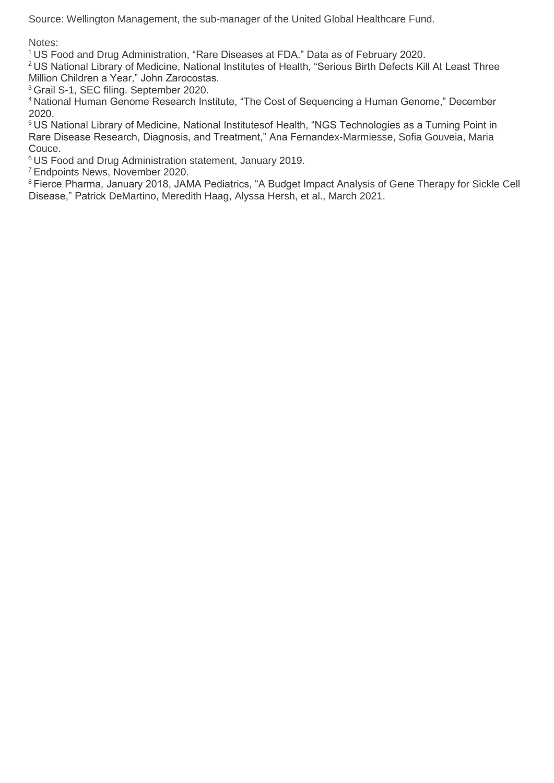Source: Wellington Management, the sub-manager of the United Global Healthcare Fund.

Notes:

<sup>1</sup>US Food and Drug Administration, "Rare Diseases at FDA." Data as of February 2020.

<sup>2</sup>US National Library of Medicine, National Institutes of Health, "Serious Birth Defects Kill At Least Three Million Children a Year," John Zarocostas.

<sup>3</sup> Grail S-1, SEC filing. September 2020.

<sup>4</sup>National Human Genome Research Institute, "The Cost of Sequencing a Human Genome," December 2020.

<sup>5</sup>US National Library of Medicine, National Institutesof Health, "NGS Technologies as a Turning Point in Rare Disease Research, Diagnosis, and Treatment," Ana Fernandex-Marmiesse, Sofia Gouveia, Maria Couce.

<sup>6</sup>US Food and Drug Administration statement, January 2019.

<sup>7</sup>Endpoints News, November 2020.

<sup>8</sup>Fierce Pharma, January 2018, JAMA Pediatrics, "A Budget Impact Analysis of Gene Therapy for Sickle Cell Disease," Patrick DeMartino, Meredith Haag, Alyssa Hersh, et al., March 2021.